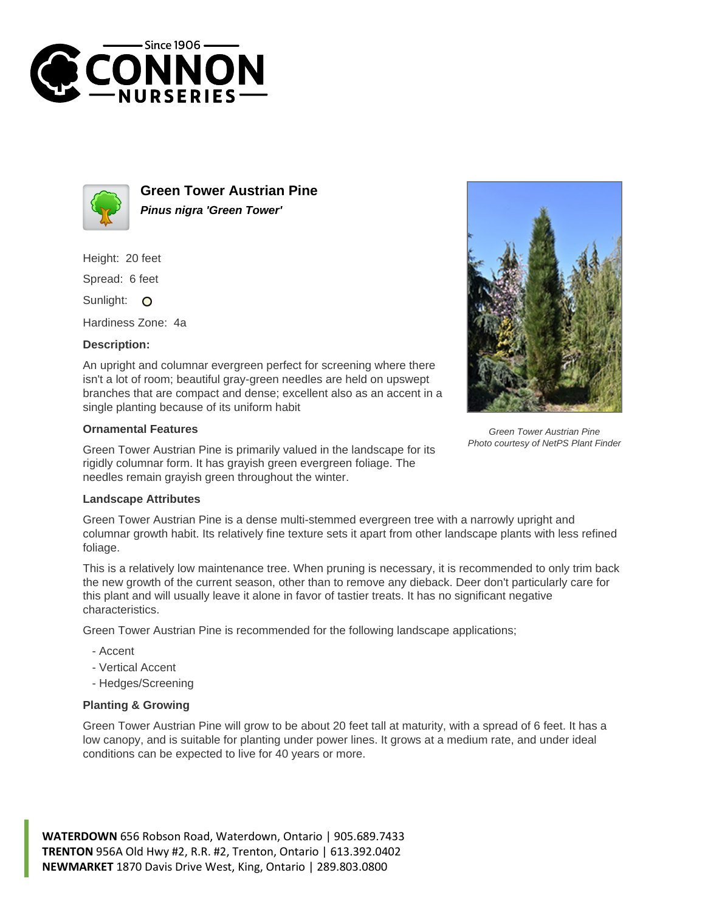



**Green Tower Austrian Pine Pinus nigra 'Green Tower'**

Height: 20 feet

Spread: 6 feet

Sunlight: O

Hardiness Zone: 4a

## **Description:**

An upright and columnar evergreen perfect for screening where there isn't a lot of room; beautiful gray-green needles are held on upswept branches that are compact and dense; excellent also as an accent in a single planting because of its uniform habit

## **Ornamental Features**

Green Tower Austrian Pine is primarily valued in the landscape for its rigidly columnar form. It has grayish green evergreen foliage. The needles remain grayish green throughout the winter.



Green Tower Austrian Pine Photo courtesy of NetPS Plant Finder

## **Landscape Attributes**

Green Tower Austrian Pine is a dense multi-stemmed evergreen tree with a narrowly upright and columnar growth habit. Its relatively fine texture sets it apart from other landscape plants with less refined foliage.

This is a relatively low maintenance tree. When pruning is necessary, it is recommended to only trim back the new growth of the current season, other than to remove any dieback. Deer don't particularly care for this plant and will usually leave it alone in favor of tastier treats. It has no significant negative characteristics.

Green Tower Austrian Pine is recommended for the following landscape applications;

- Accent
- Vertical Accent
- Hedges/Screening

## **Planting & Growing**

Green Tower Austrian Pine will grow to be about 20 feet tall at maturity, with a spread of 6 feet. It has a low canopy, and is suitable for planting under power lines. It grows at a medium rate, and under ideal conditions can be expected to live for 40 years or more.

**WATERDOWN** 656 Robson Road, Waterdown, Ontario | 905.689.7433 **TRENTON** 956A Old Hwy #2, R.R. #2, Trenton, Ontario | 613.392.0402 **NEWMARKET** 1870 Davis Drive West, King, Ontario | 289.803.0800